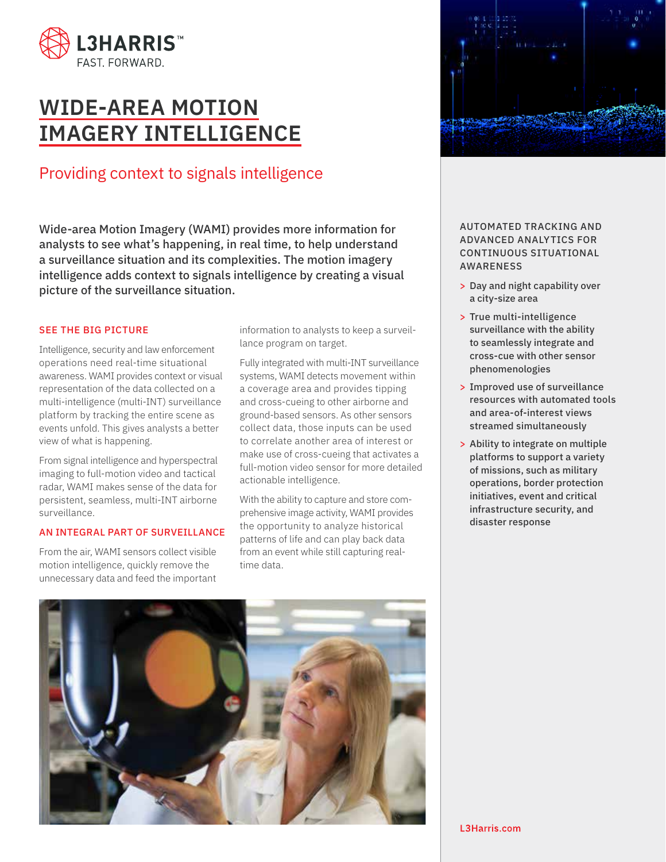

# **WIDE-AREA MOTION IMAGERY INTELLIGENCE**

## Providing context to signals intelligence

Wide-area Motion Imagery (WAMI) provides more information for analysts to see what's happening, in real time, to help understand a surveillance situation and its complexities. The motion imagery intelligence adds context to signals intelligence by creating a visual picture of the surveillance situation.

#### SEE THE BIG PICTURE

Intelligence, security and law enforcement operations need real-time situational awareness. WAMI provides context or visual representation of the data collected on a multi-intelligence (multi-INT) surveillance platform by tracking the entire scene as events unfold. This gives analysts a better view of what is happening.

From signal intelligence and hyperspectral imaging to full-motion video and tactical radar, WAMI makes sense of the data for persistent, seamless, multi-INT airborne surveillance.

#### AN INTEGRAL PART OF SURVEILLANCE

From the air, WAMI sensors collect visible motion intelligence, quickly remove the unnecessary data and feed the important information to analysts to keep a surveillance program on target.

Fully integrated with multi-INT surveillance systems, WAMI detects movement within a coverage area and provides tipping and cross-cueing to other airborne and ground-based sensors. As other sensors collect data, those inputs can be used to correlate another area of interest or make use of cross-cueing that activates a full-motion video sensor for more detailed actionable intelligence.

With the ability to capture and store comprehensive image activity, WAMI provides the opportunity to analyze historical patterns of life and can play back data from an event while still capturing realtime data.





AUTOMATED TRACKING AND ADVANCED ANALYTICS FOR CONTINUOUS SITUATIONAL AWARENESS

- > Day and night capability over a city-size area
- > True multi-intelligence surveillance with the ability to seamlessly integrate and cross-cue with other sensor phenomenologies
- > Improved use of surveillance resources with automated tools and area-of-interest views streamed simultaneously
- > Ability to integrate on multiple platforms to support a variety of missions, such as military operations, border protection initiatives, event and critical infrastructure security, and disaster response